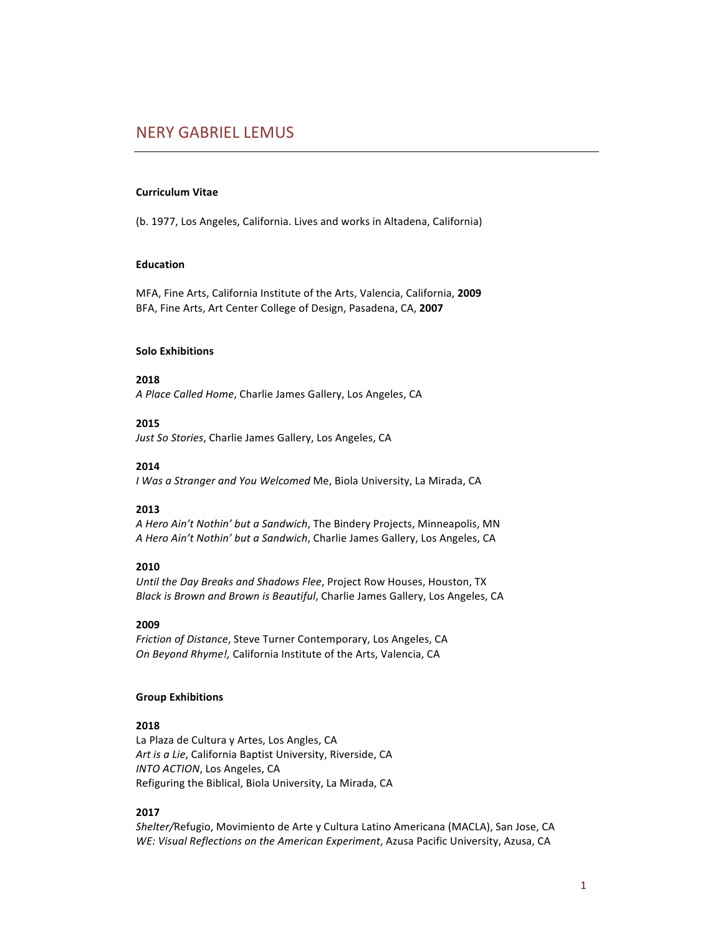# **NERY GABRIEL LEMUS**

#### **Curriculum Vitae**

(b. 1977, Los Angeles, California. Lives and works in Altadena, California)

#### **Education**

MFA, Fine Arts, California Institute of the Arts, Valencia, California, 2009 BFA, Fine Arts, Art Center College of Design, Pasadena, CA, 2007

#### **Solo Exhibitions**

**2018**

*A Place Called Home*, Charlie James Gallery, Los Angeles, CA

#### **2015**

Just So Stories, Charlie James Gallery, Los Angeles, CA

#### **2014**

*I* Was a Stranger and You Welcomed Me, Biola University, La Mirada, CA

### **2013**

A Hero Ain't Nothin' but a Sandwich, The Bindery Projects, Minneapolis, MN A Hero Ain't Nothin' but a Sandwich, Charlie James Gallery, Los Angeles, CA

### **2010**

Until the Day Breaks and Shadows Flee, Project Row Houses, Houston, TX *Black is Brown and Brown is Beautiful*, Charlie James Gallery, Los Angeles, CA

#### **2009**

*Friction of Distance,* Steve Turner Contemporary, Los Angeles, CA *On Beyond Rhyme!, California Institute of the Arts, Valencia, CA* 

#### **Group Exhibitions**

#### **2018**

La Plaza de Cultura y Artes, Los Angles, CA Art is a Lie, California Baptist University, Riverside, CA *INTO ACTION*, Los Angeles, CA Refiguring the Biblical, Biola University, La Mirada, CA

#### **2017**

Shelter/Refugio, Movimiento de Arte y Cultura Latino Americana (MACLA), San Jose, CA *WE: Visual Reflections on the American Experiment, Azusa Pacific University, Azusa, CA*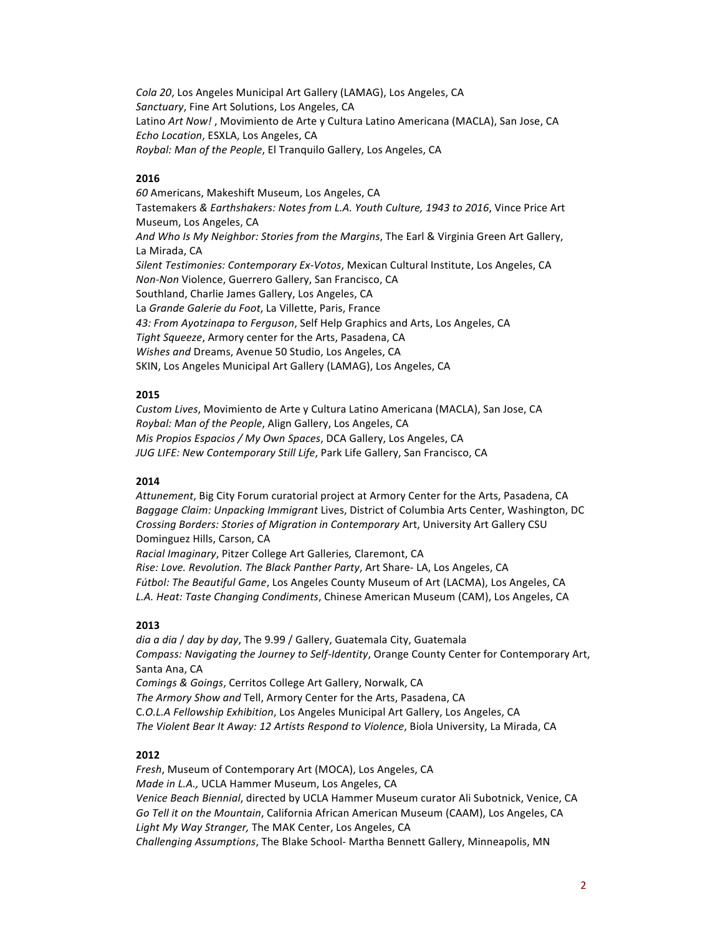*Cola 20*, Los Angeles Municipal Art Gallery (LAMAG), Los Angeles, CA Sanctuary, Fine Art Solutions, Los Angeles, CA Latino *Art Now!*, Movimiento de Arte y Cultura Latino Americana (MACLA), San Jose, CA *Echo Location*, ESXLA, Los Angeles, CA *Roybal: Man of the People*, El Tranquilo Gallery, Los Angeles, CA

### **2016**

*60* Americans, Makeshift Museum, Los Angeles, CA Tastemakers & Earthshakers: Notes from L.A. Youth Culture, 1943 to 2016, Vince Price Art Museum, Los Angeles, CA And Who Is My Neighbor: Stories from the Margins, The Earl & Virginia Green Art Gallery, La Mirada, CA Silent Testimonies: Contemporary Ex-Votos, Mexican Cultural Institute, Los Angeles, CA *Non-Non* Violence, Guerrero Gallery, San Francisco, CA Southland, Charlie James Gallery, Los Angeles, CA La *Grande Galerie du Foot*, La Villette, Paris, France 43: From Ayotzinapa to Ferguson, Self Help Graphics and Arts, Los Angeles, CA *Tight Squeeze*, Armory center for the Arts, Pasadena, CA *Wishes and Dreams, Avenue* 50 Studio, Los Angeles, CA SKIN, Los Angeles Municipal Art Gallery (LAMAG), Los Angeles, CA

### **2015**

*Custom Lives*, Movimiento de Arte y Cultura Latino Americana (MACLA), San Jose, CA *Roybal: Man of the People, Align Gallery, Los Angeles, CA Mis Propios Espacios* / My Own Spaces, DCA Gallery, Los Angeles, CA JUG LIFE: New Contemporary Still Life, Park Life Gallery, San Francisco, CA

### **2014**

Attunement, Big City Forum curatorial project at Armory Center for the Arts, Pasadena, CA Baggage Claim: Unpacking Immigrant Lives, District of Columbia Arts Center, Washington, DC *Crossing Borders: Stories of Migration in Contemporary Art, University Art Gallery CSU* Dominguez Hills, Carson, CA *Racial Imaginary*, Pitzer College Art Galleries*,* Claremont, CA *Rise: Love. Revolution. The Black Panther Party*, Art Share- LA, Los Angeles, CA Fútbol: The Beautiful Game, Los Angeles County Museum of Art (LACMA), Los Angeles, CA L.A. Heat: Taste Changing Condiments, Chinese American Museum (CAM), Los Angeles, CA

### **2013**

*dia a dia* / *day by day*, The 9.99 / Gallery, Guatemala City, Guatemala *Compass: Navigating the Journey to Self-Identity, Orange County Center for Contemporary Art,* Santa Ana, CA *Comings & Goings, Cerritos College Art Gallery, Norwalk, CA The Armory Show and Tell, Armory Center for the Arts, Pasadena, CA* C*.O.L.A Fellowship Exhibition*, Los Angeles Municipal Art Gallery, Los Angeles, CA The Violent Bear It Away: 12 Artists Respond to Violence, Biola University, La Mirada, CA

#### **2012**

*Fresh*, Museum of Contemporary Art (MOCA), Los Angeles, CA *Made in L.A., UCLA Hammer Museum, Los Angeles, CA* Venice Beach Biennial, directed by UCLA Hammer Museum curator Ali Subotnick, Venice, CA *Go Tell it on the Mountain,* California African American Museum (CAAM), Los Angeles, CA *Light My Way Stranger,* The MAK Center, Los Angeles, CA *Challenging Assumptions*, The Blake School- Martha Bennett Gallery, Minneapolis, MN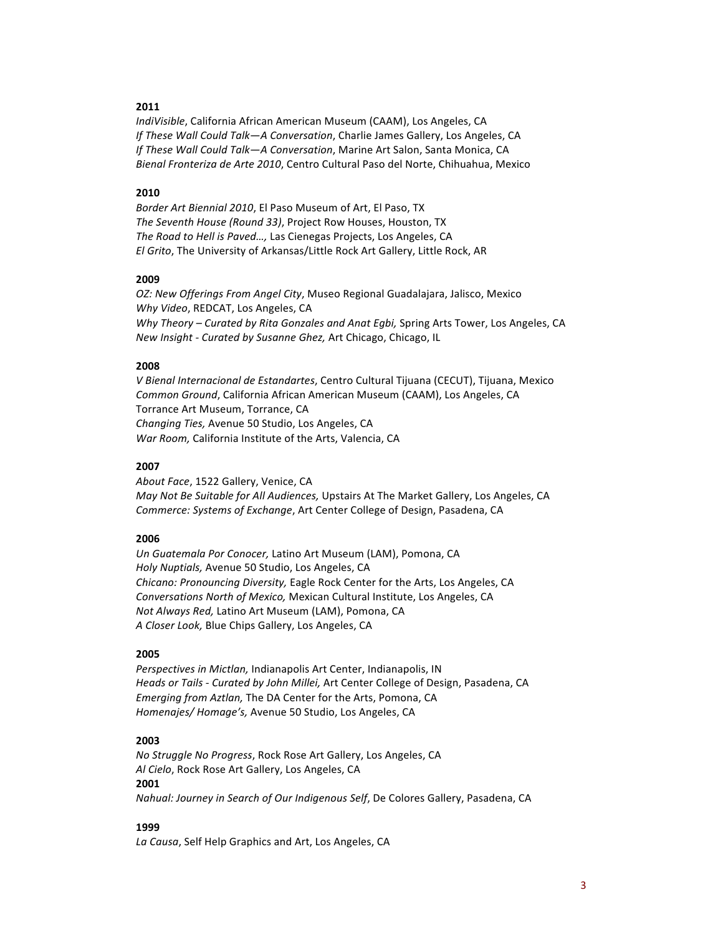*IndiVisible, California African American Museum (CAAM), Los Angeles, CA If These Wall Could Talk-A Conversation*, Charlie James Gallery, Los Angeles, CA *If These Wall Could Talk-A Conversation*, Marine Art Salon, Santa Monica, CA *Bienal Fronteriza de Arte 2010*, Centro Cultural Paso del Norte, Chihuahua, Mexico

### **2010**

*Border Art Biennial 2010, El Paso Museum of Art, El Paso, TX The Seventh House (Round 33)*, Project Row Houses, Houston, TX *The Road to Hell is Paved...,* Las Cienegas Projects, Los Angeles, CA *El Grito*, The University of Arkansas/Little Rock Art Gallery, Little Rock, AR

#### **2009**

*OZ: New Offerings From Angel City*, Museo Regional Guadalajara, Jalisco, Mexico *Why Video*, REDCAT, Los Angeles, CA *Why Theory – Curated by Rita Gonzales and Anat Egbi, Spring Arts Tower, Los Angeles, CA New Insight - Curated by Susanne Ghez, Art Chicago, Chicago, IL* 

#### **2008**

*V Bienal Internacional de Estandartes*, Centro Cultural Tijuana (CECUT), Tijuana, Mexico *Common Ground*, California African American Museum (CAAM), Los Angeles, CA Torrance Art Museum, Torrance, CA *Changing Ties,* Avenue 50 Studio, Los Angeles, CA *War Room,* California Institute of the Arts, Valencia, CA

#### **2007**

About Face, 1522 Gallery, Venice, CA *May Not Be Suitable for All Audiences,* Upstairs At The Market Gallery, Los Angeles, CA *Commerce: Systems of Exchange, Art Center College of Design, Pasadena, CA* 

#### **2006**

*Un Guatemala Por Conocer,* Latino Art Museum (LAM), Pomona, CA *Holy Nuptials,* Avenue 50 Studio, Los Angeles, CA *Chicano: Pronouncing Diversity, Eagle Rock Center for the Arts, Los Angeles, CA Conversations North of Mexico, Mexican Cultural Institute, Los Angeles, CA Not Always Red, Latino Art Museum (LAM), Pomona, CA A Closer Look,* Blue Chips Gallery, Los Angeles, CA

#### **2005**

*Perspectives in Mictlan,* Indianapolis Art Center, Indianapolis, IN Heads or Tails - Curated by John Millei, Art Center College of Design, Pasadena, CA *Emerging from Aztlan,* The DA Center for the Arts, Pomona, CA *Homenajes/ Homage's, Avenue* 50 Studio, Los Angeles, CA

### **2003**

*No Struggle No Progress*, Rock Rose Art Gallery, Los Angeles, CA Al Cielo, Rock Rose Art Gallery, Los Angeles, CA **2001** *Nahual: Journey in Search of Our Indigenous Self, De Colores Gallery, Pasadena, CA* 

#### **1999**

La Causa, Self Help Graphics and Art, Los Angeles, CA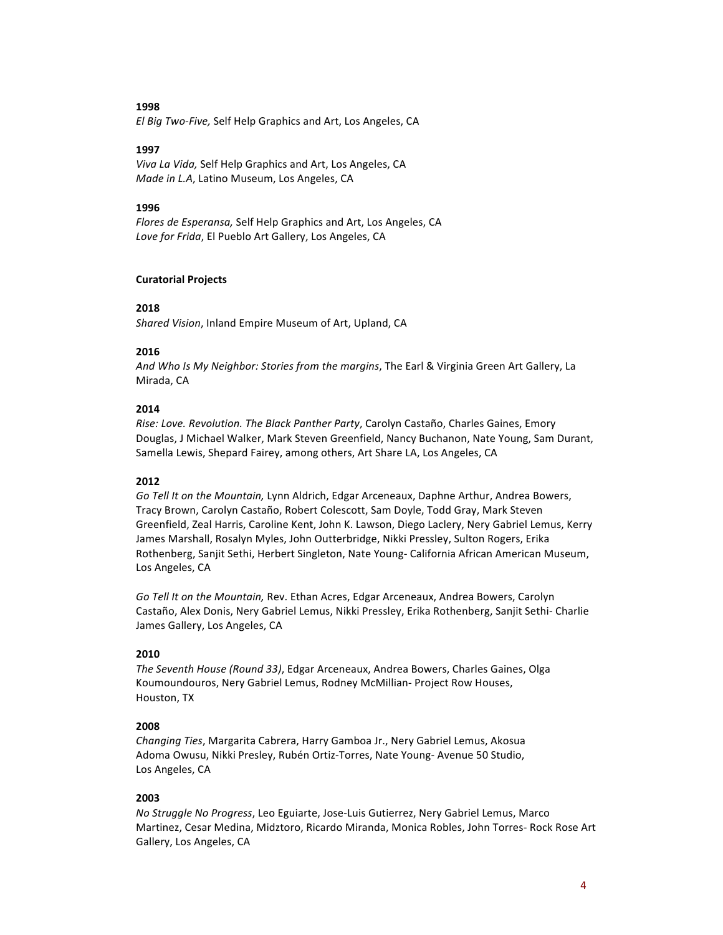*El Big Two-Five,* Self Help Graphics and Art, Los Angeles, CA

#### **1997**

*Viva La Vida,* Self Help Graphics and Art, Los Angeles, CA *Made in L.A*, Latino Museum, Los Angeles, CA

#### **1996**

*Flores de Esperansa,* Self Help Graphics and Art, Los Angeles, CA Love for Frida, El Pueblo Art Gallery, Los Angeles, CA

### **Curatorial Projects**

#### **2018**

Shared Vision, Inland Empire Museum of Art, Upland, CA

### **2016**

And Who Is My Neighbor: Stories from the margins, The Earl & Virginia Green Art Gallery, La Mirada, CA

# **2014**

*Rise: Love. Revolution. The Black Panther Party, Carolyn Castaño, Charles Gaines, Emory* Douglas, J Michael Walker, Mark Steven Greenfield, Nancy Buchanon, Nate Young, Sam Durant, Samella Lewis, Shepard Fairey, among others, Art Share LA, Los Angeles, CA

#### **2012**

Go Tell It on the Mountain, Lynn Aldrich, Edgar Arceneaux, Daphne Arthur, Andrea Bowers, Tracy Brown, Carolyn Castaño, Robert Colescott, Sam Doyle, Todd Gray, Mark Steven Greenfield, Zeal Harris, Caroline Kent, John K. Lawson, Diego Laclery, Nery Gabriel Lemus, Kerry James Marshall, Rosalyn Myles, John Outterbridge, Nikki Pressley, Sulton Rogers, Erika Rothenberg, Sanjit Sethi, Herbert Singleton, Nate Young- California African American Museum, Los Angeles, CA

Go Tell It on the Mountain, Rev. Ethan Acres, Edgar Arceneaux, Andrea Bowers, Carolyn Castaño, Alex Donis, Nery Gabriel Lemus, Nikki Pressley, Erika Rothenberg, Sanjit Sethi- Charlie James Gallery, Los Angeles, CA

### **2010**

*The Seventh House (Round 33)*, Edgar Arceneaux, Andrea Bowers, Charles Gaines, Olga Koumoundouros, Nery Gabriel Lemus, Rodney McMillian- Project Row Houses, Houston, TX

### **2008**

*Changing Ties*, Margarita Cabrera, Harry Gamboa Jr., Nery Gabriel Lemus, Akosua Adoma Owusu, Nikki Presley, Rubén Ortiz-Torres, Nate Young- Avenue 50 Studio, Los Angeles, CA

### **2003**

*No Struggle No Progress, Leo Eguiarte, Jose-Luis Gutierrez, Nery Gabriel Lemus, Marco* Martinez, Cesar Medina, Midztoro, Ricardo Miranda, Monica Robles, John Torres- Rock Rose Art Gallery, Los Angeles, CA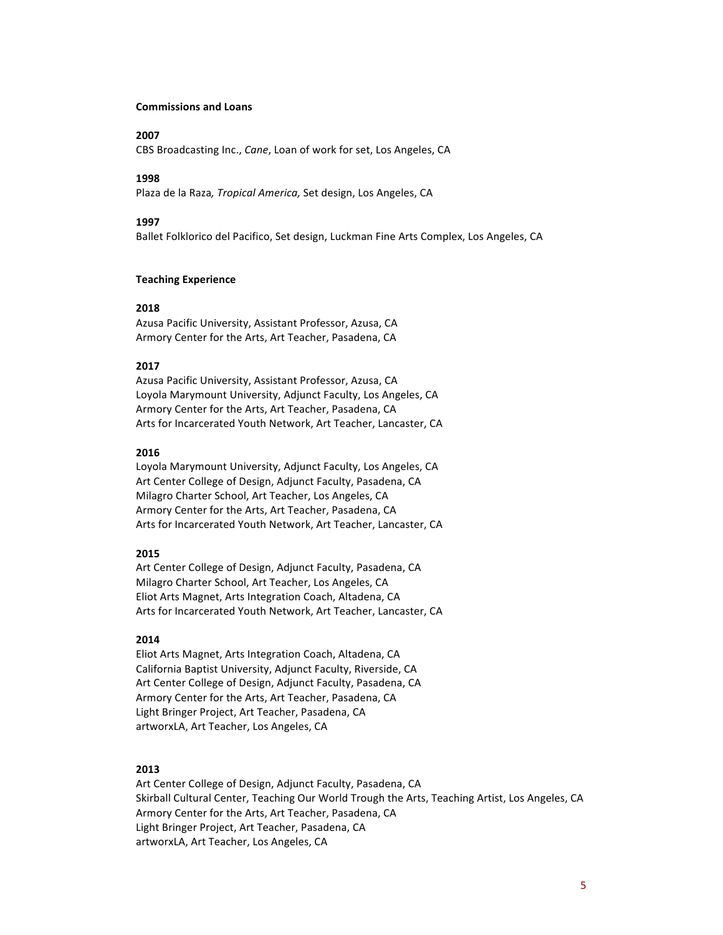#### **Commissions and Loans**

# **2007**

CBS Broadcasting Inc., *Cane*, Loan of work for set, Los Angeles, CA

#### **1998**

Plaza de la Raza, *Tropical America*, Set design, Los Angeles, CA

#### **1997**

Ballet Folklorico del Pacifico, Set design, Luckman Fine Arts Complex, Los Angeles, CA

### **Teaching Experience**

#### **2018**

Azusa Pacific University, Assistant Professor, Azusa, CA Armory Center for the Arts, Art Teacher, Pasadena, CA

#### **2017**

Azusa Pacific University, Assistant Professor, Azusa, CA Loyola Marymount University, Adjunct Faculty, Los Angeles, CA Armory Center for the Arts, Art Teacher, Pasadena, CA Arts for Incarcerated Youth Network, Art Teacher, Lancaster, CA

#### **2016**

Loyola Marymount University, Adjunct Faculty, Los Angeles, CA Art Center College of Design, Adjunct Faculty, Pasadena, CA Milagro Charter School, Art Teacher, Los Angeles, CA Armory Center for the Arts, Art Teacher, Pasadena, CA Arts for Incarcerated Youth Network, Art Teacher, Lancaster, CA

# **2015**

Art Center College of Design, Adjunct Faculty, Pasadena, CA Milagro Charter School, Art Teacher, Los Angeles, CA Eliot Arts Magnet, Arts Integration Coach, Altadena, CA Arts for Incarcerated Youth Network, Art Teacher, Lancaster, CA

#### **2014**

Eliot Arts Magnet, Arts Integration Coach, Altadena, CA California Baptist University, Adjunct Faculty, Riverside, CA Art Center College of Design, Adjunct Faculty, Pasadena, CA Armory Center for the Arts, Art Teacher, Pasadena, CA Light Bringer Project, Art Teacher, Pasadena, CA artworxLA, Art Teacher, Los Angeles, CA

#### **2013**

Art Center College of Design, Adjunct Faculty, Pasadena, CA Skirball Cultural Center, Teaching Our World Trough the Arts, Teaching Artist, Los Angeles, CA Armory Center for the Arts, Art Teacher, Pasadena, CA Light Bringer Project, Art Teacher, Pasadena, CA artworxLA, Art Teacher, Los Angeles, CA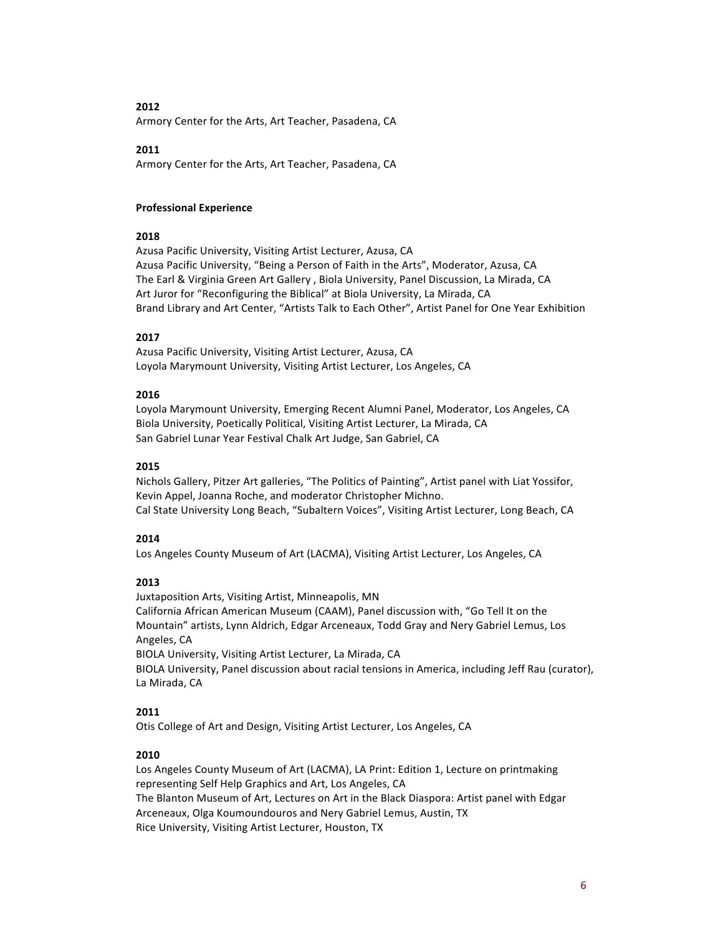Armory Center for the Arts, Art Teacher, Pasadena, CA

# **2011**

Armory Center for the Arts, Art Teacher, Pasadena, CA

# **Professional Experience**

# **2018**

Azusa Pacific University, Visiting Artist Lecturer, Azusa, CA Azusa Pacific University, "Being a Person of Faith in the Arts", Moderator, Azusa, CA The Earl & Virginia Green Art Gallery, Biola University, Panel Discussion, La Mirada, CA Art Juror for "Reconfiguring the Biblical" at Biola University, La Mirada, CA Brand Library and Art Center, "Artists Talk to Each Other", Artist Panel for One Year Exhibition

# **2017**

Azusa Pacific University, Visiting Artist Lecturer, Azusa, CA Loyola Marymount University, Visiting Artist Lecturer, Los Angeles, CA

# **2016**

Loyola Marymount University, Emerging Recent Alumni Panel, Moderator, Los Angeles, CA Biola University, Poetically Political, Visiting Artist Lecturer, La Mirada, CA San Gabriel Lunar Year Festival Chalk Art Judge, San Gabriel, CA

# **2015**

Nichols Gallery, Pitzer Art galleries, "The Politics of Painting", Artist panel with Liat Yossifor, Kevin Appel, Joanna Roche, and moderator Christopher Michno. Cal State University Long Beach, "Subaltern Voices", Visiting Artist Lecturer, Long Beach, CA

# **2014**

Los Angeles County Museum of Art (LACMA), Visiting Artist Lecturer, Los Angeles, CA

# **2013**

Juxtaposition Arts, Visiting Artist, Minneapolis, MN California African American Museum (CAAM), Panel discussion with, "Go Tell It on the Mountain" artists, Lynn Aldrich, Edgar Arceneaux, Todd Gray and Nery Gabriel Lemus, Los Angeles, CA BIOLA University, Visiting Artist Lecturer, La Mirada, CA

BIOLA University, Panel discussion about racial tensions in America, including Jeff Rau (curator), La Mirada, CA

# **2011**

Otis College of Art and Design, Visiting Artist Lecturer, Los Angeles, CA

# **2010**

Los Angeles County Museum of Art (LACMA), LA Print: Edition 1, Lecture on printmaking representing Self Help Graphics and Art, Los Angeles, CA The Blanton Museum of Art, Lectures on Art in the Black Diaspora: Artist panel with Edgar Arceneaux, Olga Koumoundouros and Nery Gabriel Lemus, Austin, TX Rice University, Visiting Artist Lecturer, Houston, TX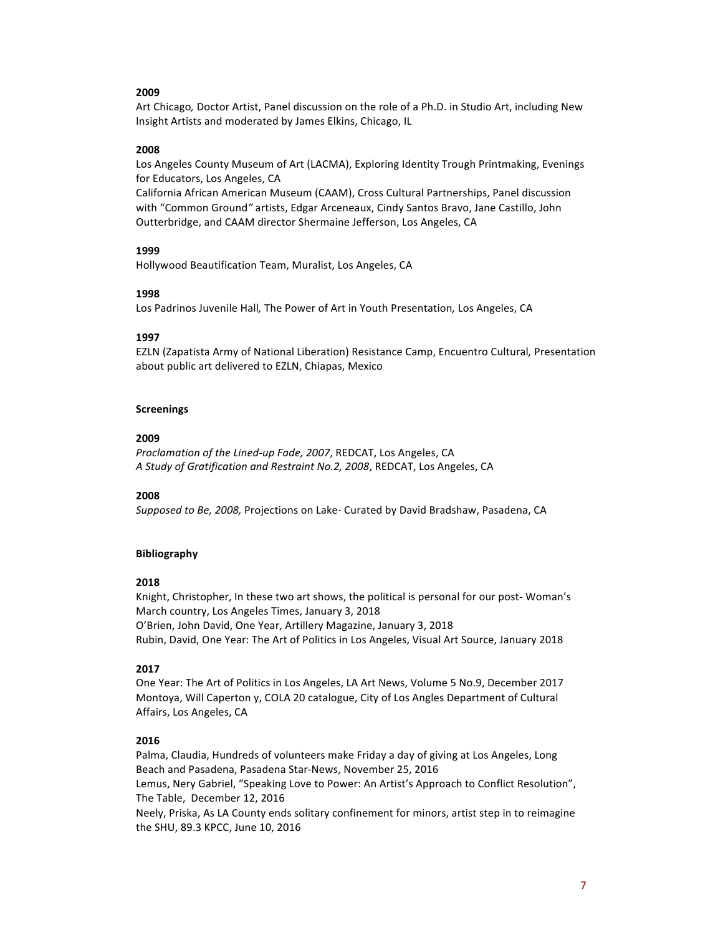Art Chicago, Doctor Artist, Panel discussion on the role of a Ph.D. in Studio Art, including New Insight Artists and moderated by James Elkins, Chicago, IL

### **2008**

Los Angeles County Museum of Art (LACMA), Exploring Identity Trough Printmaking, Evenings for Educators, Los Angeles, CA

California African American Museum (CAAM), Cross Cultural Partnerships, Panel discussion with "Common Ground" artists, Edgar Arceneaux, Cindy Santos Bravo, Jane Castillo, John Outterbridge, and CAAM director Shermaine Jefferson, Los Angeles, CA

# **1999**

Hollywood Beautification Team, Muralist, Los Angeles, CA

# **1998**

Los Padrinos Juvenile Hall, The Power of Art in Youth Presentation, Los Angeles, CA

# **1997**

EZLN (Zapatista Army of National Liberation) Resistance Camp, Encuentro Cultural*,* Presentation about public art delivered to EZLN, Chiapas, Mexico

### **Screenings**

# **2009**

*Proclamation of the Lined-up Fade, 2007, REDCAT, Los Angeles, CA A Study of Gratification and Restraint No.2, 2008*, REDCAT, Los Angeles, CA

### **2008**

*Supposed to Be, 2008, Projections on Lake- Curated by David Bradshaw, Pasadena, CA* 

# **Bibliography**

# **2018**

Knight, Christopher, In these two art shows, the political is personal for our post- Woman's March country, Los Angeles Times, January 3, 2018 O'Brien, John David, One Year, Artillery Magazine, January 3, 2018 Rubin, David, One Year: The Art of Politics in Los Angeles, Visual Art Source, January 2018

# **2017**

One Year: The Art of Politics in Los Angeles, LA Art News, Volume 5 No.9, December 2017 Montoya, Will Caperton y, COLA 20 catalogue, City of Los Angles Department of Cultural Affairs, Los Angeles, CA

# **2016**

Palma, Claudia, Hundreds of volunteers make Friday a day of giving at Los Angeles, Long Beach and Pasadena, Pasadena Star-News, November 25, 2016 Lemus, Nery Gabriel, "Speaking Love to Power: An Artist's Approach to Conflict Resolution", The Table, December 12, 2016 Neely, Priska, As LA County ends solitary confinement for minors, artist step in to reimagine the SHU, 89.3 KPCC, June 10, 2016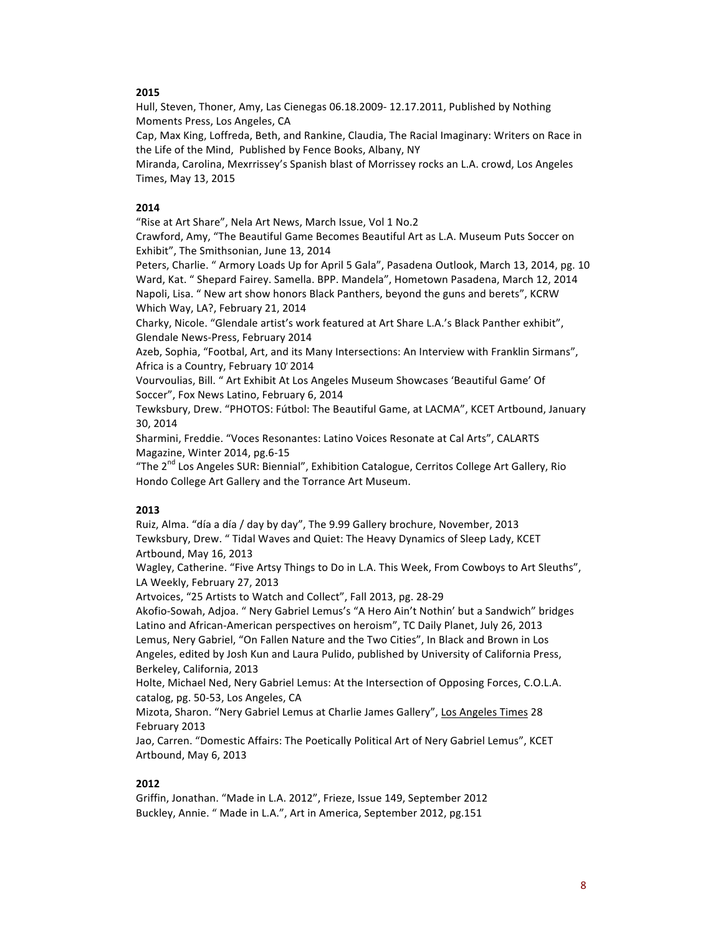Hull, Steven, Thoner, Amy, Las Cienegas 06.18.2009- 12.17.2011, Published by Nothing Moments Press, Los Angeles, CA

Cap, Max King, Loffreda, Beth, and Rankine, Claudia, The Racial Imaginary: Writers on Race in the Life of the Mind, Published by Fence Books, Albany, NY

Miranda, Carolina, Mexrrissey's Spanish blast of Morrissey rocks an L.A. crowd, Los Angeles Times, May 13, 2015

#### **2014**

"Rise at Art Share", Nela Art News, March Issue, Vol 1 No.2

Crawford, Amy, "The Beautiful Game Becomes Beautiful Art as L.A. Museum Puts Soccer on Exhibit", The Smithsonian, June 13, 2014

Peters, Charlie. " Armory Loads Up for April 5 Gala", Pasadena Outlook, March 13, 2014, pg. 10 Ward, Kat. " Shepard Fairey. Samella. BPP. Mandela", Hometown Pasadena, March 12, 2014 Napoli, Lisa. " New art show honors Black Panthers, beyond the guns and berets", KCRW Which Way, LA?, February 21, 2014

Charky, Nicole. "Glendale artist's work featured at Art Share L.A.'s Black Panther exhibit", Glendale News-Press, February 2014

Azeb, Sophia, "Footbal, Art, and its Many Intersections: An Interview with Franklin Sirmans", Africa is a Country, February 10' 2014

Vourvoulias, Bill. " Art Exhibit At Los Angeles Museum Showcases 'Beautiful Game' Of Soccer", Fox News Latino, February 6, 2014

Tewksbury, Drew. "PHOTOS: Fútbol: The Beautiful Game, at LACMA", KCET Artbound, January 30, 2014

Sharmini, Freddie. "Voces Resonantes: Latino Voices Resonate at Cal Arts", CALARTS Magazine, Winter 2014, pg.6-15

"The 2<sup>nd</sup> Los Angeles SUR: Biennial", Exhibition Catalogue, Cerritos College Art Gallery, Rio Hondo College Art Gallery and the Torrance Art Museum.

#### **2013**

Ruiz, Alma. "día a día / day by day", The 9.99 Gallery brochure, November, 2013 Tewksbury, Drew. " Tidal Waves and Quiet: The Heavy Dynamics of Sleep Lady, KCET Artbound, May 16, 2013

Wagley, Catherine. "Five Artsy Things to Do in L.A. This Week, From Cowboys to Art Sleuths", LA Weekly, February 27, 2013

Artvoices, "25 Artists to Watch and Collect", Fall 2013, pg. 28-29

Akofio-Sowah, Adjoa. " Nery Gabriel Lemus's "A Hero Ain't Nothin' but a Sandwich" bridges Latino and African-American perspectives on heroism", TC Daily Planet, July 26, 2013 Lemus, Nery Gabriel, "On Fallen Nature and the Two Cities", In Black and Brown in Los Angeles, edited by Josh Kun and Laura Pulido, published by University of California Press, Berkeley, California, 2013

Holte, Michael Ned, Nery Gabriel Lemus: At the Intersection of Opposing Forces, C.O.L.A. catalog, pg. 50-53, Los Angeles, CA

Mizota, Sharon. "Nery Gabriel Lemus at Charlie James Gallery", Los Angeles Times 28 February 2013

Jao, Carren. "Domestic Affairs: The Poetically Political Art of Nery Gabriel Lemus", KCET Artbound, May 6, 2013

# **2012**

Griffin, Jonathan. "Made in L.A. 2012", Frieze, Issue 149, September 2012 Buckley, Annie. " Made in L.A.", Art in America, September 2012, pg.151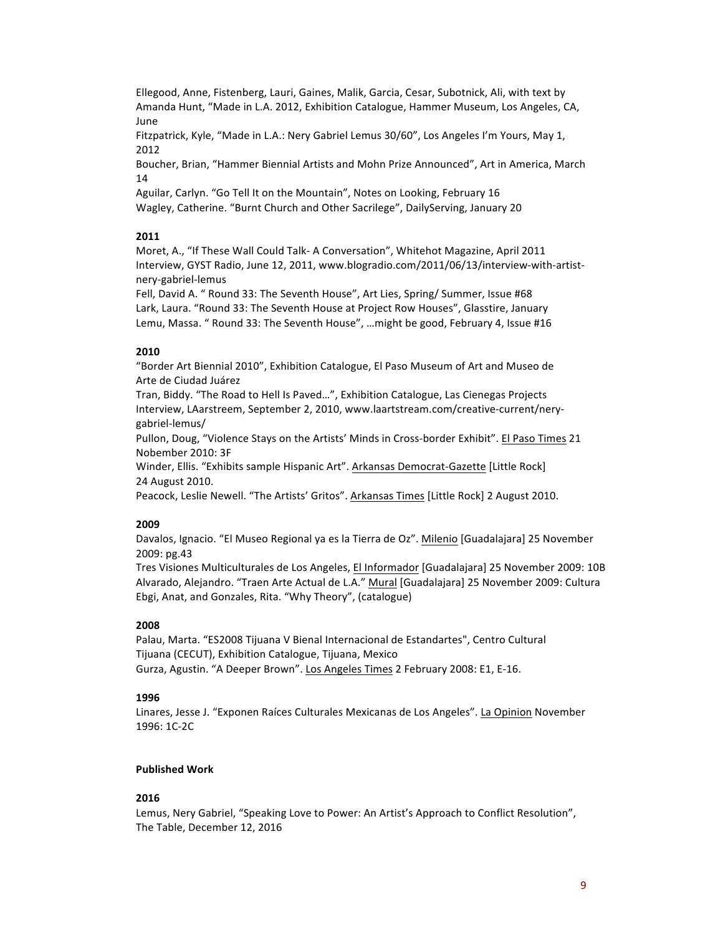Ellegood, Anne, Fistenberg, Lauri, Gaines, Malik, Garcia, Cesar, Subotnick, Ali, with text by Amanda Hunt, "Made in L.A. 2012, Exhibition Catalogue, Hammer Museum, Los Angeles, CA, June

Fitzpatrick, Kyle, "Made in L.A.: Nery Gabriel Lemus 30/60", Los Angeles I'm Yours, May 1, 2012

Boucher, Brian, "Hammer Biennial Artists and Mohn Prize Announced", Art in America, March 14

Aguilar, Carlyn. "Go Tell It on the Mountain", Notes on Looking, February 16 Wagley, Catherine. "Burnt Church and Other Sacrilege", DailyServing, January 20

# **2011**

Moret, A., "If These Wall Could Talk- A Conversation", Whitehot Magazine, April 2011 Interview, GYST Radio, June 12, 2011, www.blogradio.com/2011/06/13/interview-with-artistnery-gabriel-lemus

Fell, David A. " Round 33: The Seventh House", Art Lies, Spring/ Summer, Issue #68 Lark, Laura. "Round 33: The Seventh House at Project Row Houses", Glasstire, January Lemu, Massa. " Round 33: The Seventh House", ... might be good, February 4, Issue #16

# **2010**

"Border Art Biennial 2010", Exhibition Catalogue, El Paso Museum of Art and Museo de Arte de Ciudad Juárez

Tran, Biddy. "The Road to Hell Is Paved...", Exhibition Catalogue, Las Cienegas Projects Interview, LAarstreem, September 2, 2010, www.laartstream.com/creative-current/nerygabriel-lemus/

Pullon, Doug, "Violence Stays on the Artists' Minds in Cross-border Exhibit". El Paso Times 21 Nobember 2010: 3F

Winder, Ellis. "Exhibits sample Hispanic Art". Arkansas Democrat-Gazette [Little Rock] 24 August 2010.

Peacock, Leslie Newell. "The Artists' Gritos". Arkansas Times [Little Rock] 2 August 2010.

# **2009**

Davalos, Ignacio. "El Museo Regional ya es la Tierra de Oz". Milenio [Guadalajara] 25 November 2009: pg.43

Tres Visiones Multiculturales de Los Angeles, El Informador [Guadalajara] 25 November 2009: 10B Alvarado, Alejandro. "Traen Arte Actual de L.A." Mural [Guadalajara] 25 November 2009: Cultura Ebgi, Anat, and Gonzales, Rita. "Why Theory", (catalogue)

### **2008**

Palau, Marta. "ES2008 Tijuana V Bienal Internacional de Estandartes", Centro Cultural Tijuana (CECUT), Exhibition Catalogue, Tijuana, Mexico Gurza, Agustin. "A Deeper Brown". Los Angeles Times 2 February 2008: E1, E-16.

### **1996**

Linares, Jesse J. "Exponen Raíces Culturales Mexicanas de Los Angeles". La Opinion November 1996: 1C-2C

### **Published Work**

# **2016**

Lemus, Nery Gabriel, "Speaking Love to Power: An Artist's Approach to Conflict Resolution", The Table, December 12, 2016